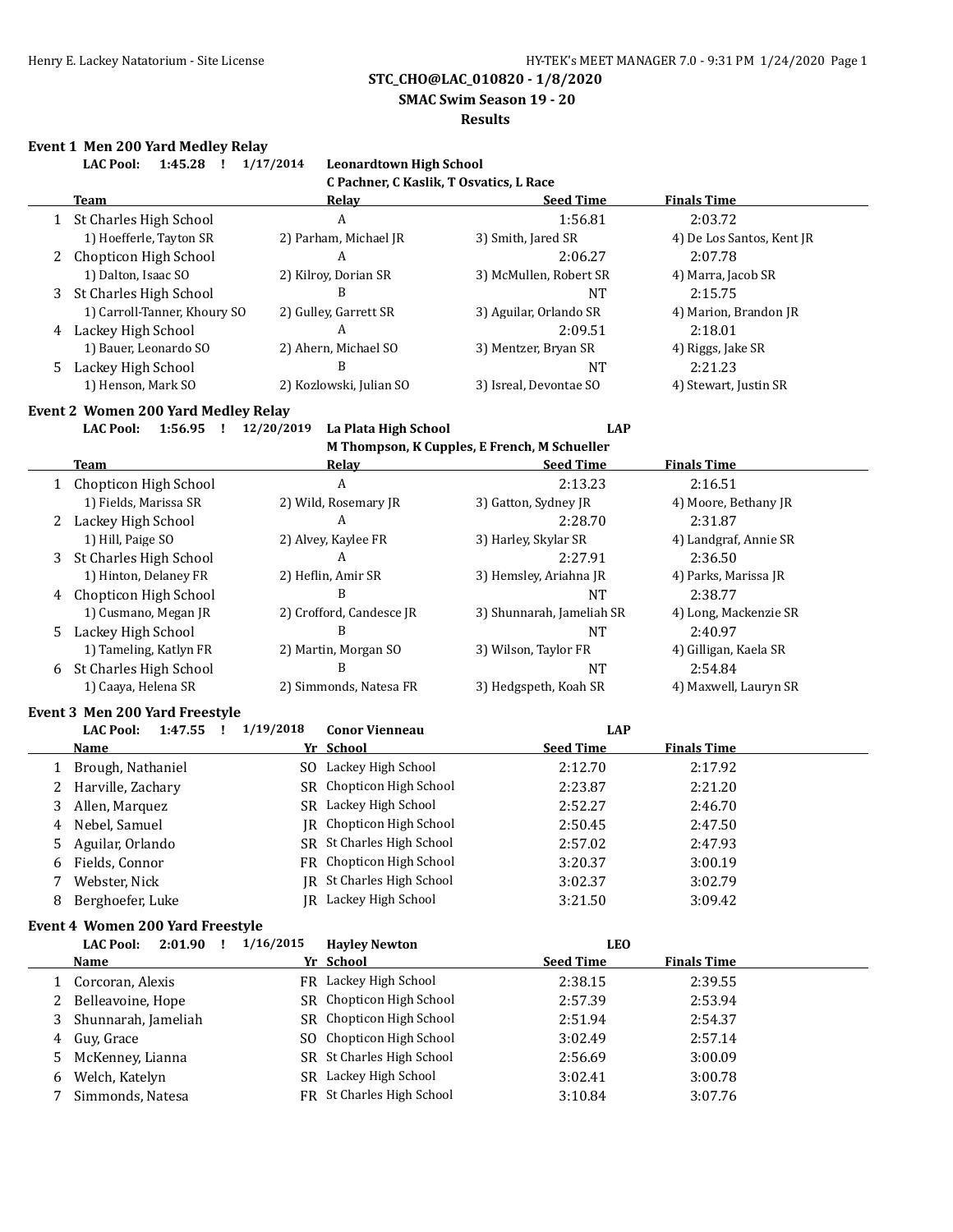**SMAC Swim Season 19 - 20**

#### **Results**

#### **Event 1 Men 200 Yard Medley Relay**

|   | <b>LAC Pool:</b><br>1:45.28  | 1/17/2014<br><b>Leonardtown High School</b> |                        |                           |
|---|------------------------------|---------------------------------------------|------------------------|---------------------------|
|   |                              | C Pachner, C Kaslik, T Osvatics, L Race     |                        |                           |
|   | <b>Team</b>                  | Relay                                       | <b>Seed Time</b>       | <b>Finals Time</b>        |
|   | 1 St Charles High School     | A                                           | 1:56.81                | 2:03.72                   |
|   | 1) Hoefferle, Tayton SR      | 2) Parham, Michael JR                       | 3) Smith, Jared SR     | 4) De Los Santos, Kent JR |
|   | 2 Chopticon High School      | A                                           | 2:06.27                | 2:07.78                   |
|   | 1) Dalton, Isaac SO          | 2) Kilroy, Dorian SR                        | 3) McMullen, Robert SR | 4) Marra, Jacob SR        |
| 3 | St Charles High School       | B                                           | <b>NT</b>              | 2:15.75                   |
|   | 1) Carroll-Tanner, Khoury SO | 2) Gulley, Garrett SR                       | 3) Aguilar, Orlando SR | 4) Marion, Brandon JR     |
| 4 | Lackey High School           | A                                           | 2:09.51                | 2:18.01                   |
|   | 1) Bauer, Leonardo SO        | 2) Ahern, Michael SO                        | 3) Mentzer, Bryan SR   | 4) Riggs, Jake SR         |
|   | 5 Lackey High School         | B                                           | <b>NT</b>              | 2:21.23                   |
|   | 1) Henson, Mark SO           | 2) Kozlowski, Julian SO                     | 3) Isreal, Devontae SO | 4) Stewart, Justin SR     |

#### **Event 2 Women 200 Yard Medley Relay**

**LAC Pool: 1:56.95 ! 12/20/2019 La Plata High School LAP**

**M Thompson, K Cupples, E French, M Schueller**

|    |                         |                          | "Thompson, is cupples, if I chen, "Tenuenei |                       |
|----|-------------------------|--------------------------|---------------------------------------------|-----------------------|
|    | Team                    | Relay                    | <b>Seed Time</b>                            | <b>Finals Time</b>    |
|    | 1 Chopticon High School | A                        | 2:13.23                                     | 2:16.51               |
|    | 1) Fields, Marissa SR   | 2) Wild, Rosemary JR     | 3) Gatton, Sydney JR                        | 4) Moore, Bethany JR  |
|    | Lackey High School      | A                        | 2:28.70                                     | 2:31.87               |
|    | 1) Hill, Paige SO       | 2) Alvey, Kaylee FR      | 3) Harley, Skylar SR                        | 4) Landgraf, Annie SR |
| 3  | St Charles High School  | A                        | 2:27.91                                     | 2:36.50               |
|    | 1) Hinton, Delaney FR   | 2) Heflin, Amir SR       | 3) Hemsley, Ariahna JR                      | 4) Parks, Marissa JR  |
| 4  | Chopticon High School   | B                        | <b>NT</b>                                   | 2:38.77               |
|    | 1) Cusmano, Megan JR    | 2) Crofford, Candesce JR | 3) Shunnarah, Jameliah SR                   | 4) Long, Mackenzie SR |
| 5. | Lackey High School      | В                        | NT                                          | 2:40.97               |
|    | 1) Tameling, Katlyn FR  | 2) Martin, Morgan SO     | 3) Wilson, Taylor FR                        | 4) Gilligan, Kaela SR |
| 6  | St Charles High School  | B                        | <b>NT</b>                                   | 2:54.84               |
|    | 1) Caaya, Helena SR     | 2) Simmonds, Natesa FR   | 3) Hedgspeth, Koah SR                       | 4) Maxwell, Lauryn SR |

#### **Event 3 Men 200 Yard Freestyle**

|   | Prenco pien pod imiu i iecocile |           |                           |                  |                    |  |
|---|---------------------------------|-----------|---------------------------|------------------|--------------------|--|
|   | 1:47.55<br><b>LAC Pool:</b>     | 1/19/2018 | <b>Conor Vienneau</b>     | LAP              |                    |  |
|   | Name                            |           | Yr School                 | <b>Seed Time</b> | <b>Finals Time</b> |  |
|   | Brough, Nathaniel               |           | SO Lackey High School     | 2:12.70          | 2:17.92            |  |
|   | 2 Harville, Zachary             |           | SR Chopticon High School  | 2:23.87          | 2:21.20            |  |
|   | Allen, Marquez                  |           | SR Lackey High School     | 2:52.27          | 2:46.70            |  |
| 4 | Nebel, Samuel                   |           | IR Chopticon High School  | 2:50.45          | 2:47.50            |  |
| 5 | Aguilar, Orlando                |           | SR St Charles High School | 2:57.02          | 2:47.93            |  |
| 6 | Fields, Connor                  |           | FR Chopticon High School  | 3:20.37          | 3:00.19            |  |
|   | Webster, Nick                   |           | JR St Charles High School | 3:02.37          | 3:02.79            |  |
| 8 | Berghoefer, Luke                |           | JR Lackey High School     | 3:21.50          | 3:09.42            |  |

### **Event 4 Women 200 Yard Freestyle**

|    | <b>LAC Pool:</b><br>2:01.90 | 1/16/2015 | <b>Hayley Newton</b>      | LEO              |                    |  |
|----|-----------------------------|-----------|---------------------------|------------------|--------------------|--|
|    | Name                        |           | Yr School                 | <b>Seed Time</b> | <b>Finals Time</b> |  |
|    | Corcoran, Alexis            |           | FR Lackey High School     | 2:38.15          | 2:39.55            |  |
| 2  | Belleavoine, Hope           |           | SR Chopticon High School  | 2:57.39          | 2:53.94            |  |
|    | Shunnarah, Jameliah         |           | SR Chopticon High School  | 2:51.94          | 2:54.37            |  |
| 4  | Guy, Grace                  |           | SO Chopticon High School  | 3:02.49          | 2:57.14            |  |
| 5. | McKenney, Lianna            |           | SR St Charles High School | 2:56.69          | 3:00.09            |  |
| 6  | Welch, Katelyn              | SR        | Lackey High School        | 3:02.41          | 3:00.78            |  |
|    | Simmonds, Natesa            |           | FR St Charles High School | 3:10.84          | 3:07.76            |  |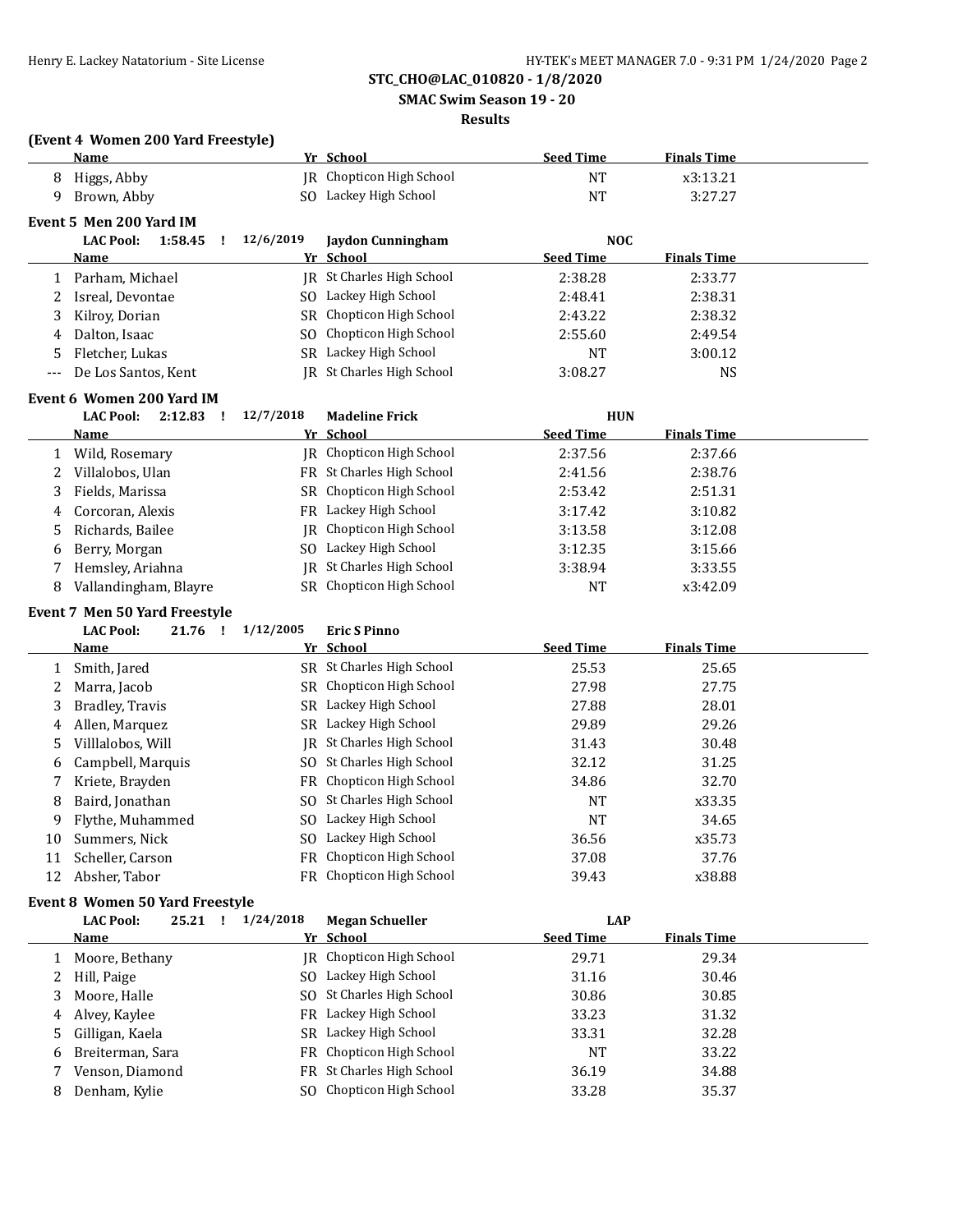**SMAC Swim Season 19 - 20**

### **Results**

# **(Event 4 Women 200 Yard Freestyle)**

|     | Name                                             |           | Yr School                                          | <b>Seed Time</b>               | <b>Finals Time</b> |  |
|-----|--------------------------------------------------|-----------|----------------------------------------------------|--------------------------------|--------------------|--|
| 8   | Higgs, Abby                                      |           | JR Chopticon High School                           | <b>NT</b>                      | x3:13.21           |  |
| 9   | Brown, Abby                                      |           | SO Lackey High School                              | <b>NT</b>                      | 3:27.27            |  |
|     |                                                  |           |                                                    |                                |                    |  |
|     | Event 5 Men 200 Yard IM<br><b>LAC Pool:</b><br>Ţ | 12/6/2019 |                                                    |                                |                    |  |
|     | 1:58.45<br>Name                                  |           | <b>Jaydon Cunningham</b><br>Yr School              | <b>NOC</b><br><b>Seed Time</b> | <b>Finals Time</b> |  |
|     |                                                  |           | <b>IR</b> St Charles High School                   |                                |                    |  |
| 1   | Parham, Michael                                  |           | SO Lackey High School                              | 2:38.28<br>2:48.41             | 2:33.77<br>2:38.31 |  |
| 2   | Isreal, Devontae                                 |           | Chopticon High School                              |                                |                    |  |
| 3   | Kilroy, Dorian<br>Dalton, Isaac                  | SR        |                                                    | 2:43.22                        | 2:38.32            |  |
| 4   |                                                  | SO        | Chopticon High School<br>SR Lackey High School     | 2:55.60                        | 2:49.54            |  |
| 5   | Fletcher, Lukas                                  |           |                                                    | <b>NT</b>                      | 3:00.12            |  |
| --- | De Los Santos, Kent                              |           | JR St Charles High School                          | 3:08.27                        | NS                 |  |
|     | Event 6 Women 200 Yard IM                        |           |                                                    |                                |                    |  |
|     | <b>LAC Pool:</b><br>$2:12.83$ !                  | 12/7/2018 | <b>Madeline Frick</b>                              | <b>HUN</b>                     |                    |  |
|     | <u>Name</u>                                      |           | Yr School                                          | <b>Seed Time</b>               | <b>Finals Time</b> |  |
| 1   | Wild, Rosemary                                   |           | JR Chopticon High School                           | 2:37.56                        | 2:37.66            |  |
| 2   | Villalobos, Ulan                                 |           | FR St Charles High School                          | 2:41.56                        | 2:38.76            |  |
| 3   | Fields, Marissa                                  |           | SR Chopticon High School                           | 2:53.42                        | 2:51.31            |  |
| 4   | Corcoran, Alexis                                 |           | FR Lackey High School                              | 3:17.42                        | 3:10.82            |  |
| 5   | Richards, Bailee                                 | IR        | Chopticon High School                              | 3:13.58                        | 3:12.08            |  |
| 6   | Berry, Morgan                                    |           | SO Lackey High School                              | 3:12.35                        | 3:15.66            |  |
| 7   | Hemsley, Ariahna                                 | IR        | St Charles High School                             | 3:38.94                        | 3:33.55            |  |
| 8   | Vallandingham, Blayre                            |           | SR Chopticon High School                           | <b>NT</b>                      | x3:42.09           |  |
|     | <b>Event 7 Men 50 Yard Freestyle</b>             |           |                                                    |                                |                    |  |
|     | <b>LAC Pool:</b><br>21.76 !                      | 1/12/2005 | <b>Eric S Pinno</b>                                |                                |                    |  |
|     | <u>Name</u>                                      |           | Yr School                                          | <b>Seed Time</b>               | <b>Finals Time</b> |  |
| 1   | Smith, Jared                                     |           | SR St Charles High School                          | 25.53                          | 25.65              |  |
| 2   | Marra, Jacob                                     |           | SR Chopticon High School                           | 27.98                          | 27.75              |  |
| 3   | Bradley, Travis                                  |           | SR Lackey High School                              | 27.88                          | 28.01              |  |
|     | Allen, Marquez                                   |           | SR Lackey High School                              | 29.89                          | 29.26              |  |
| 4   | Villlalobos, Will                                | IR        | St Charles High School                             | 31.43                          | 30.48              |  |
| 5   |                                                  |           | SO St Charles High School                          | 32.12                          | 31.25              |  |
| 6   | Campbell, Marquis                                |           |                                                    |                                |                    |  |
| 7   | Kriete, Brayden                                  |           | FR Chopticon High School                           | 34.86                          | 32.70              |  |
| 8   | Baird, Jonathan                                  |           | SO St Charles High School<br>SO Lackey High School | NT                             | x33.35             |  |
| 9   | Flythe, Muhammed                                 |           |                                                    | <b>NT</b>                      | 34.65              |  |
| 10  | Summers, Nick                                    |           | SO Lackey High School                              | 36.56                          | x35.73             |  |
| 11  | Scheller, Carson                                 |           | FR Chopticon High School                           | 37.08                          | 37.76              |  |
| 12  | Absher, Tabor                                    |           | FR Chopticon High School                           | 39.43                          | x38.88             |  |
|     | <b>Event 8 Women 50 Yard Freestyle</b>           |           |                                                    |                                |                    |  |
|     | <b>LAC Pool:</b><br>$25.21$ !                    | 1/24/2018 | <b>Megan Schueller</b>                             | <b>LAP</b>                     |                    |  |
|     | <u>Name</u>                                      |           | Yr School                                          | <b>Seed Time</b>               | <b>Finals Time</b> |  |
| 1   | Moore, Bethany                                   |           | JR Chopticon High School                           | 29.71                          | 29.34              |  |
| 2   | Hill, Paige                                      |           | SO Lackey High School                              | 31.16                          | 30.46              |  |
| 3   | Moore, Halle                                     | SO.       | St Charles High School                             | 30.86                          | 30.85              |  |
| 4   | Alvey, Kaylee                                    | FR        | Lackey High School                                 | 33.23                          | 31.32              |  |
| 5   | Gilligan, Kaela                                  | SR        | Lackey High School                                 | 33.31                          | 32.28              |  |
|     | Breiterman, Sara                                 | FR        | Chopticon High School                              | <b>NT</b>                      | 33.22              |  |
| 6   |                                                  |           |                                                    |                                |                    |  |
| 7   | Venson, Diamond                                  | FR        | St Charles High School                             | 36.19                          | 34.88              |  |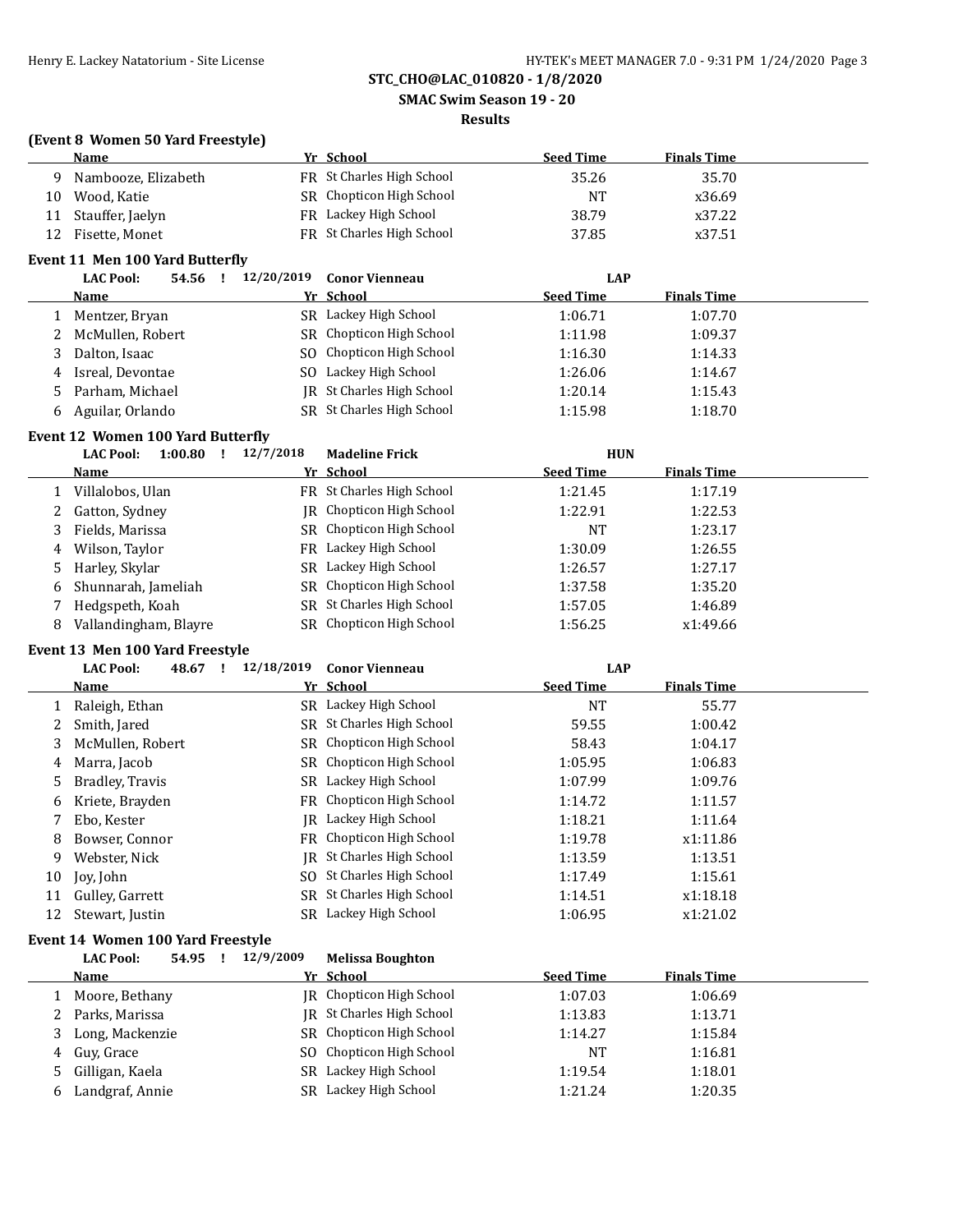**SMAC Swim Season 19 - 20**

### **Results**

### **(Event 8 Women 50 Yard Freestyle)**

|    | <b>Name</b>         | Yr School                 | <b>Seed Time</b> | <b>Finals Time</b> |
|----|---------------------|---------------------------|------------------|--------------------|
| Q  | Nambooze, Elizabeth | FR St Charles High School | 35.26            | 35.70              |
| 10 | Wood. Katie         | SR Chopticon High School  | <b>NT</b>        | x36.69             |
| 11 | Stauffer, Jaelyn    | FR Lackey High School     | 38.79            | x37.22             |
| 12 | Fisette, Monet      | FR St Charles High School | 37.85            | x37.51             |

### **Event 11 Men 100 Yard Butterfly**

| <b>LAC Pool:</b><br>54.56 | 12/20/2019 | <b>Conor Vienneau</b>     | <b>LAP</b>       |                    |  |
|---------------------------|------------|---------------------------|------------------|--------------------|--|
| Name                      |            | Yr School                 | <b>Seed Time</b> | <b>Finals Time</b> |  |
| Mentzer, Bryan            |            | SR Lackey High School     | 1:06.71          | 1:07.70            |  |
| 2 McMullen, Robert        |            | SR Chopticon High School  | 1:11.98          | 1:09.37            |  |
| Dalton, Isaac             |            | SO Chopticon High School  | 1:16.30          | 1:14.33            |  |
| 4 Isreal, Devontae        | SO.        | Lackey High School        | 1:26.06          | 1:14.67            |  |
| 5 Parham, Michael         |            | IR St Charles High School | 1:20.14          | 1:15.43            |  |
| Aguilar, Orlando          |            | SR St Charles High School | 1:15.98          | 1:18.70            |  |

# **Event 12 Women 100 Yard Butterfly**

|   | <b>LAC Pool:</b><br>1:00.80 | 12/7/2018 | <b>Madeline Frick</b>     | <b>HUN</b>       |                    |  |
|---|-----------------------------|-----------|---------------------------|------------------|--------------------|--|
|   | Name                        |           | Yr School                 | <b>Seed Time</b> | <b>Finals Time</b> |  |
|   | Villalobos, Ulan            |           | FR St Charles High School | 1:21.45          | 1:17.19            |  |
|   | 2 Gatton, Sydney            |           | IR Chopticon High School  | 1:22.91          | 1:22.53            |  |
|   | 3 Fields, Marissa           |           | SR Chopticon High School  | NT               | 1:23.17            |  |
| 4 | Wilson, Taylor              |           | FR Lackey High School     | 1:30.09          | 1:26.55            |  |
|   | 5 Harley, Skylar            |           | SR Lackey High School     | 1:26.57          | 1:27.17            |  |
|   | 6 Shunnarah, Jameliah       |           | SR Chopticon High School  | 1:37.58          | 1:35.20            |  |
|   | Hedgspeth, Koah             |           | SR St Charles High School | 1:57.05          | 1:46.89            |  |
| 8 | Vallandingham, Blayre       |           | SR Chopticon High School  | 1:56.25          | x1:49.66           |  |

#### **Event 13 Men 100 Yard Freestyle**

|    | <b>LAC Pool:</b><br>48.67 | 12/18/2019 | <b>Conor Vienneau</b>     | <b>LAP</b>       |                    |  |
|----|---------------------------|------------|---------------------------|------------------|--------------------|--|
|    | Name                      |            | Yr School                 | <b>Seed Time</b> | <b>Finals Time</b> |  |
|    | Raleigh, Ethan            |            | SR Lackey High School     | <b>NT</b>        | 55.77              |  |
| 2  | Smith, Jared              |            | SR St Charles High School | 59.55            | 1:00.42            |  |
| 3  | McMullen, Robert          |            | SR Chopticon High School  | 58.43            | 1:04.17            |  |
| 4  | Marra, Jacob              |            | SR Chopticon High School  | 1:05.95          | 1:06.83            |  |
| 5. | Bradley, Travis           |            | SR Lackey High School     | 1:07.99          | 1:09.76            |  |
| 6  | Kriete, Brayden           |            | FR Chopticon High School  | 1:14.72          | 1:11.57            |  |
|    | Ebo. Kester               |            | IR Lackey High School     | 1:18.21          | 1:11.64            |  |
| 8  | Bowser, Connor            |            | FR Chopticon High School  | 1:19.78          | x1:11.86           |  |
| 9  | Webster, Nick             | IR         | St Charles High School    | 1:13.59          | 1:13.51            |  |
| 10 | Joy, John                 |            | SO St Charles High School | 1:17.49          | 1:15.61            |  |
| 11 | Gulley, Garrett           |            | SR St Charles High School | 1:14.51          | x1:18.18           |  |
| 12 | Stewart, Justin           |            | SR Lackey High School     | 1:06.95          | x1:21.02           |  |

# **Event 14 Women 100 Yard Freestyle**<br>14 C Book 54.05 1 12/9/3

|   | <b>LAC Pool:</b><br>54.95 | 12/9/2009 | <b>Melissa Boughton</b>   |                  |                    |  |
|---|---------------------------|-----------|---------------------------|------------------|--------------------|--|
|   | Name                      |           | Yr School                 | <b>Seed Time</b> | <b>Finals Time</b> |  |
|   | Moore, Bethany            |           | IR Chopticon High School  | 1:07.03          | 1:06.69            |  |
|   | Parks, Marissa            |           | IR St Charles High School | 1:13.83          | 1:13.71            |  |
|   | Long, Mackenzie           |           | SR Chopticon High School  | 1:14.27          | 1:15.84            |  |
| 4 | Guy, Grace                |           | SO Chopticon High School  | NT               | 1:16.81            |  |
| 5 | Gilligan, Kaela           |           | SR Lackey High School     | 1:19.54          | 1:18.01            |  |
| b | Landgraf, Annie           |           | SR Lackey High School     | 1:21.24          | 1:20.35            |  |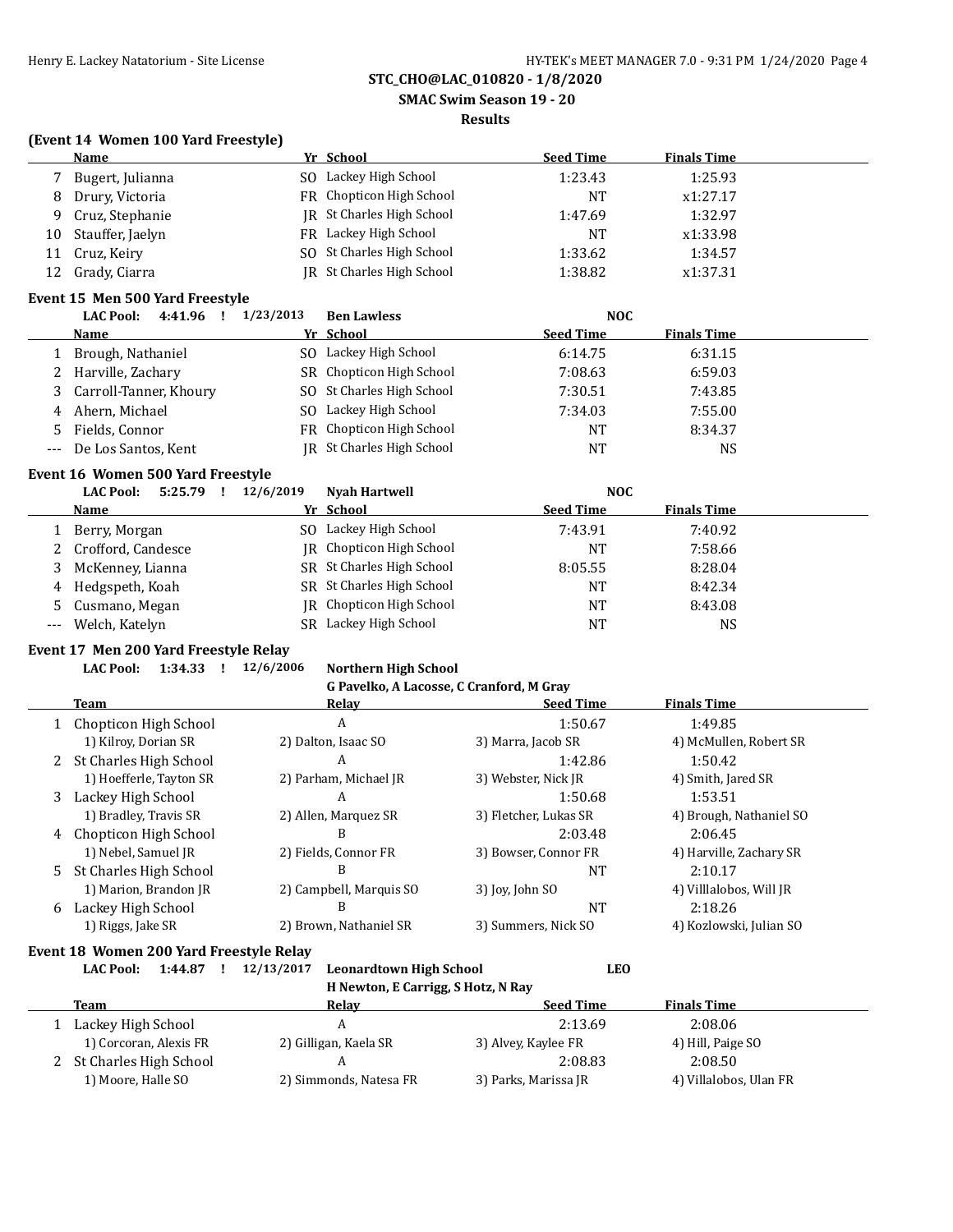**SMAC Swim Season 19 - 20**

### **Results**

#### **(Event 14 Women 100 Yard Freestyle)**

|    | Name              | Yr School                 | <b>Seed Time</b> | <b>Finals Time</b> |  |
|----|-------------------|---------------------------|------------------|--------------------|--|
|    | Bugert, Julianna  | SO Lackey High School     | 1:23.43          | 1:25.93            |  |
|    | 8 Drury, Victoria | FR Chopticon High School  | NT               | x1:27.17           |  |
| 9  | Cruz, Stephanie   | IR St Charles High School | 1:47.69          | 1:32.97            |  |
| 10 | Stauffer, Jaelyn  | FR Lackey High School     | NT               | x1:33.98           |  |
| 11 | Cruz, Keiry       | SO St Charles High School | 1:33.62          | 1:34.57            |  |
| 12 | Grady, Ciarra     | JR St Charles High School | 1:38.82          | x1:37.31           |  |

#### **Event 15 Men 500 Yard Freestyle**

| 4:41.96<br><b>LAC Pool:</b> | 1/23/2013 | <b>Ben Lawless</b>        | <b>NOC</b>       |                    |  |
|-----------------------------|-----------|---------------------------|------------------|--------------------|--|
| <b>Name</b>                 |           | Yr School                 | <b>Seed Time</b> | <b>Finals Time</b> |  |
| Brough, Nathaniel           | SO.       | Lackey High School        | 6:14.75          | 6:31.15            |  |
| 2 Harville, Zachary         |           | SR Chopticon High School  | 7:08.63          | 6:59.03            |  |
| 3 Carroll-Tanner, Khoury    |           | SO St Charles High School | 7:30.51          | 7:43.85            |  |
| 4 Ahern, Michael            | SO.       | Lackey High School        | 7:34.03          | 7:55.00            |  |
| 5 Fields. Connor            |           | FR Chopticon High School  | <b>NT</b>        | 8:34.37            |  |
| --- De Los Santos, Kent     |           | JR St Charles High School | NT               | NS                 |  |

### **Event 16 Women 500 Yard Freestyle**

|     | 5:25.79<br><b>LAC Pool:</b> | 12/6/2019 | <b>Nyah Hartwell</b>      | <b>NOC</b>       |                    |
|-----|-----------------------------|-----------|---------------------------|------------------|--------------------|
|     | Name                        |           | Yr School                 | <b>Seed Time</b> | <b>Finals Time</b> |
|     | Berry, Morgan               |           | SO Lackey High School     | 7:43.91          | 7:40.92            |
|     | 2 Crofford, Candesce        |           | IR Chopticon High School  | NΊ               | 7:58.66            |
|     | McKenney, Lianna            |           | SR St Charles High School | 8:05.55          | 8:28.04            |
|     | 4 Hedgspeth, Koah           |           | SR St Charles High School | NΊ               | 8:42.34            |
|     | 5 Cusmano, Megan            |           | IR Chopticon High School  | <b>NT</b>        | 8:43.08            |
| --- | Welch, Katelyn              |           | SR Lackey High School     | NT               | NS                 |

### **Event 17 Men 200 Yard Freestyle Relay**

# **LAC Pool: 1:34.33 ! 12/6/2006 Northern High School**

#### **G Pavelko, A Lacosse, C Cranford, M Gray**

|   | Team                     | Relav                   | <b>Seed Time</b>      | <b>Finals Time</b>      |
|---|--------------------------|-------------------------|-----------------------|-------------------------|
|   | 1 Chopticon High School  | A                       | 1:50.67               | 1:49.85                 |
|   | 1) Kilroy, Dorian SR     | 2) Dalton, Isaac SO     | 3) Marra, Jacob SR    | 4) McMullen, Robert SR  |
|   | 2 St Charles High School | A                       | 1:42.86               | 1:50.42                 |
|   | 1) Hoefferle, Tayton SR  | 2) Parham, Michael JR   | 3) Webster, Nick JR   | 4) Smith, Jared SR      |
| 3 | Lackey High School       | A                       | 1:50.68               | 1:53.51                 |
|   | 1) Bradley, Travis SR    | 2) Allen, Marquez SR    | 3) Fletcher, Lukas SR | 4) Brough, Nathaniel SO |
|   | 4 Chopticon High School  | B                       | 2:03.48               | 2:06.45                 |
|   | 1) Nebel, Samuel JR      | 2) Fields, Connor FR    | 3) Bowser, Connor FR  | 4) Harville, Zachary SR |
|   | 5 St Charles High School | В                       | NT                    | 2:10.17                 |
|   | 1) Marion, Brandon JR    | 2) Campbell, Marquis SO | 3) Joy, John SO       | 4) Villlalobos, Will JR |
| 6 | Lackey High School       | B                       | <b>NT</b>             | 2:18.26                 |
|   | 1) Riggs, Jake SR        | 2) Brown, Nathaniel SR  | 3) Summers, Nick SO   | 4) Kozlowski, Julian SO |

# **Event 18 Women 200 Yard Freestyle Relay**

**LAC Pool: 1:44.87 ! 12/13/2017 Leonardtown High School LEO**

**H Newton, E Carrigg, S Hotz, N Ray**

| Team                   | Relav                    | <b>Seed Time</b>     | <b>Finals Time</b>     |  |
|------------------------|--------------------------|----------------------|------------------------|--|
| Lackey High School     |                          | 2:13.69              | 2:08.06                |  |
| 1) Corcoran, Alexis FR | 2) Gilligan, Kaela SR    | 3) Alvey, Kaylee FR  | 4) Hill, Paige SO      |  |
|                        |                          | 2:08.83              | 2:08.50                |  |
| 1) Moore, Halle SO     | 2) Simmonds, Natesa FR   | 3) Parks, Marissa JR | 4) Villalobos, Ulan FR |  |
|                        | 2 St Charles High School |                      |                        |  |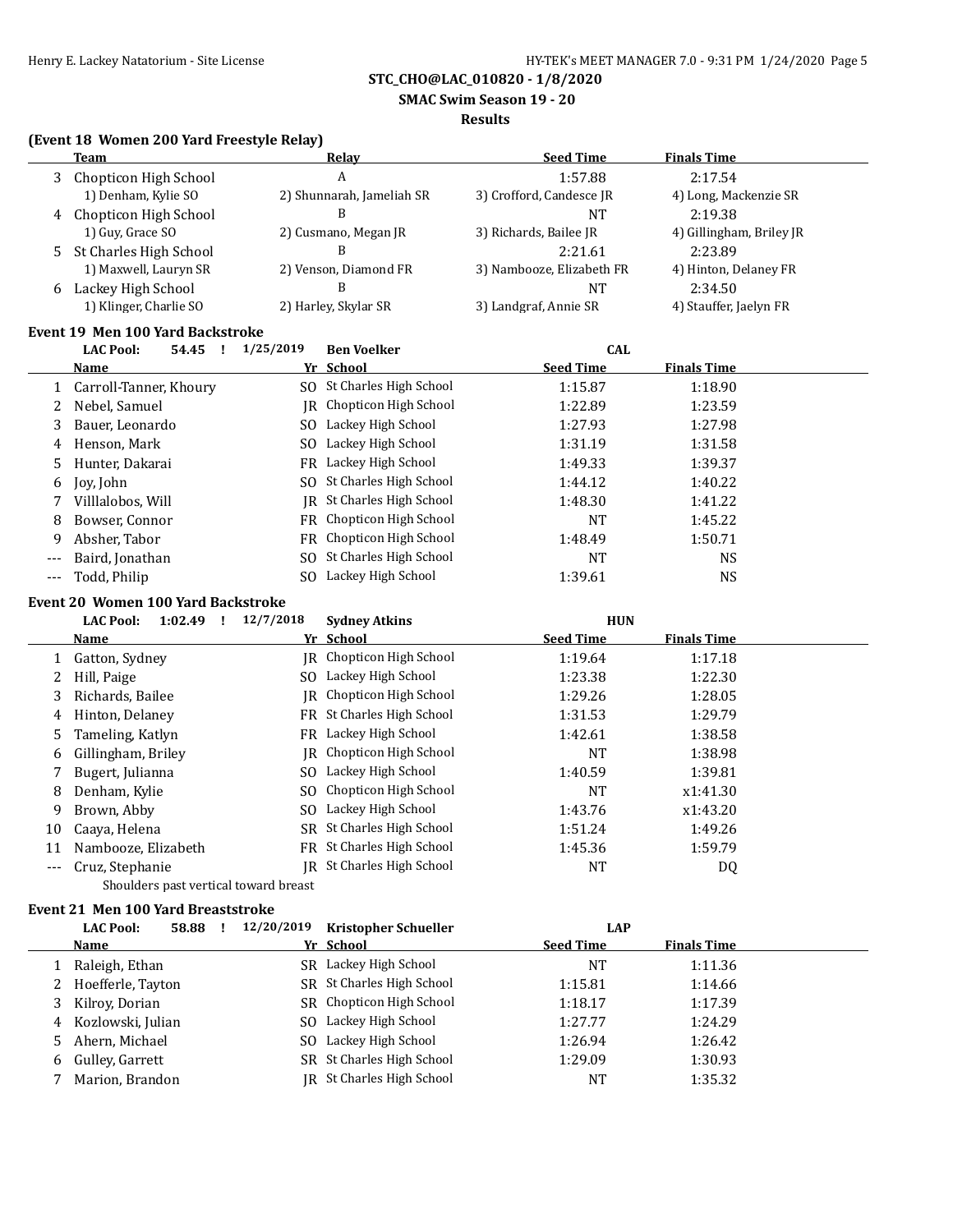**SMAC Swim Season 19 - 20**

### **Results**

# **(Event 18 Women 200 Yard Freestyle Relay)**

|   | Team                     | <b>Relav</b>              | <b>Seed Time</b>          | <b>Finals Time</b>       |
|---|--------------------------|---------------------------|---------------------------|--------------------------|
| 3 | Chopticon High School    | A                         | 1:57.88                   | 2:17.54                  |
|   | 1) Denham, Kylie SO      | 2) Shunnarah, Jameliah SR | 3) Crofford, Candesce JR  | 4) Long, Mackenzie SR    |
|   | 4 Chopticon High School  | В                         | NΤ                        | 2:19.38                  |
|   | 1) Guy, Grace SO         | 2) Cusmano, Megan JR      | 3) Richards, Bailee JR    | 4) Gillingham, Briley JR |
|   | 5 St Charles High School | В                         | 2:21.61                   | 2:23.89                  |
|   | 1) Maxwell, Lauryn SR    | 2) Venson, Diamond FR     | 3) Nambooze, Elizabeth FR | 4) Hinton, Delaney FR    |
| 6 | Lackey High School       | В                         | NT                        | 2:34.50                  |
|   | 1) Klinger, Charlie SO   | 2) Harley, Skylar SR      | 3) Landgraf, Annie SR     | 4) Stauffer, Jaelyn FR   |
|   |                          |                           |                           |                          |

## **Event 19 Men 100 Yard Backstroke**

|       | <b>LAC Pool:</b><br>54.45 | 1/25/2019 | <b>Ben Voelker</b>        | <b>CAL</b>       |                    |  |
|-------|---------------------------|-----------|---------------------------|------------------|--------------------|--|
|       | <b>Name</b>               |           | Yr School                 | <b>Seed Time</b> | <b>Finals Time</b> |  |
|       | 1 Carroll-Tanner, Khoury  |           | SO St Charles High School | 1:15.87          | 1:18.90            |  |
|       | Nebel, Samuel             |           | IR Chopticon High School  | 1:22.89          | 1:23.59            |  |
| 3     | Bauer, Leonardo           | SO.       | Lackey High School        | 1:27.93          | 1:27.98            |  |
| 4     | Henson, Mark              | SO.       | Lackey High School        | 1:31.19          | 1:31.58            |  |
|       | Hunter, Dakarai           |           | FR Lackey High School     | 1:49.33          | 1:39.37            |  |
|       | 6 Joy, John               |           | SO St Charles High School | 1:44.12          | 1:40.22            |  |
|       | Villlalobos, Will         |           | IR St Charles High School | 1:48.30          | 1:41.22            |  |
| 8     | Bowser, Connor            |           | FR Chopticon High School  | <b>NT</b>        | 1:45.22            |  |
| 9     | Absher, Tabor             |           | FR Chopticon High School  | 1:48.49          | 1:50.71            |  |
| $---$ | Baird, Jonathan           |           | SO St Charles High School | <b>NT</b>        | NS.                |  |
| $---$ | Todd, Philip              | SO.       | Lackey High School        | 1:39.61          | NS                 |  |

# **Event 20 Women 100 Yard Backstroke**

|       | <b>LAC Pool:</b><br>1:02.49           | 12/7/2018 | <b>Sydney Atkins</b>            | <b>HUN</b>       |                    |  |
|-------|---------------------------------------|-----------|---------------------------------|------------------|--------------------|--|
|       | <u>Name</u>                           |           | Yr School                       | <b>Seed Time</b> | <b>Finals Time</b> |  |
|       | Gatton, Sydney                        |           | <b>IR</b> Chopticon High School | 1:19.64          | 1:17.18            |  |
| 2     | Hill, Paige                           | SO.       | Lackey High School              | 1:23.38          | 1:22.30            |  |
| 3     | Richards, Bailee                      |           | IR Chopticon High School        | 1:29.26          | 1:28.05            |  |
| 4     | Hinton, Delaney                       | FR        | St Charles High School          | 1:31.53          | 1:29.79            |  |
| 5.    | Tameling, Katlyn                      | FR        | Lackey High School              | 1:42.61          | 1:38.58            |  |
| 6     | Gillingham, Briley                    |           | IR Chopticon High School        | <b>NT</b>        | 1:38.98            |  |
| 7     | Bugert, Julianna                      | SO.       | Lackey High School              | 1:40.59          | 1:39.81            |  |
| 8     | Denham, Kylie                         |           | SO Chopticon High School        | <b>NT</b>        | x1:41.30           |  |
| 9     | Brown, Abby                           |           | SO Lackey High School           | 1:43.76          | x1:43.20           |  |
| 10    | Caaya, Helena                         |           | SR St Charles High School       | 1:51.24          | 1:49.26            |  |
| 11    | Nambooze, Elizabeth                   |           | FR St Charles High School       | 1:45.36          | 1:59.79            |  |
| $---$ | Cruz, Stephanie                       | IR        | St Charles High School          | <b>NT</b>        | DQ                 |  |
|       | Shoulders past vertical toward breast |           |                                 |                  |                    |  |

#### **Event 21 Men 100 Yard Breaststroke**

|    | <b>LAC Pool:</b><br>58.88 | 12/20/2019 | Kristopher Schueller      | LAP              |                    |  |
|----|---------------------------|------------|---------------------------|------------------|--------------------|--|
|    | Name                      |            | Yr School                 | <b>Seed Time</b> | <b>Finals Time</b> |  |
|    | Raleigh, Ethan            |            | SR Lackey High School     | NT               | 1:11.36            |  |
| 2  | Hoefferle, Tayton         |            | SR St Charles High School | 1:15.81          | 1:14.66            |  |
| 3  | Kilroy, Dorian            |            | SR Chopticon High School  | 1:18.17          | 1:17.39            |  |
| 4  | Kozlowski, Julian         | SO.        | Lackey High School        | 1:27.77          | 1:24.29            |  |
| 5. | Ahern, Michael            | SO.        | Lackey High School        | 1:26.94          | 1:26.42            |  |
| 6  | Gulley, Garrett           |            | SR St Charles High School | 1:29.09          | 1:30.93            |  |
|    | Marion, Brandon           |            | IR St Charles High School | NT               | 1:35.32            |  |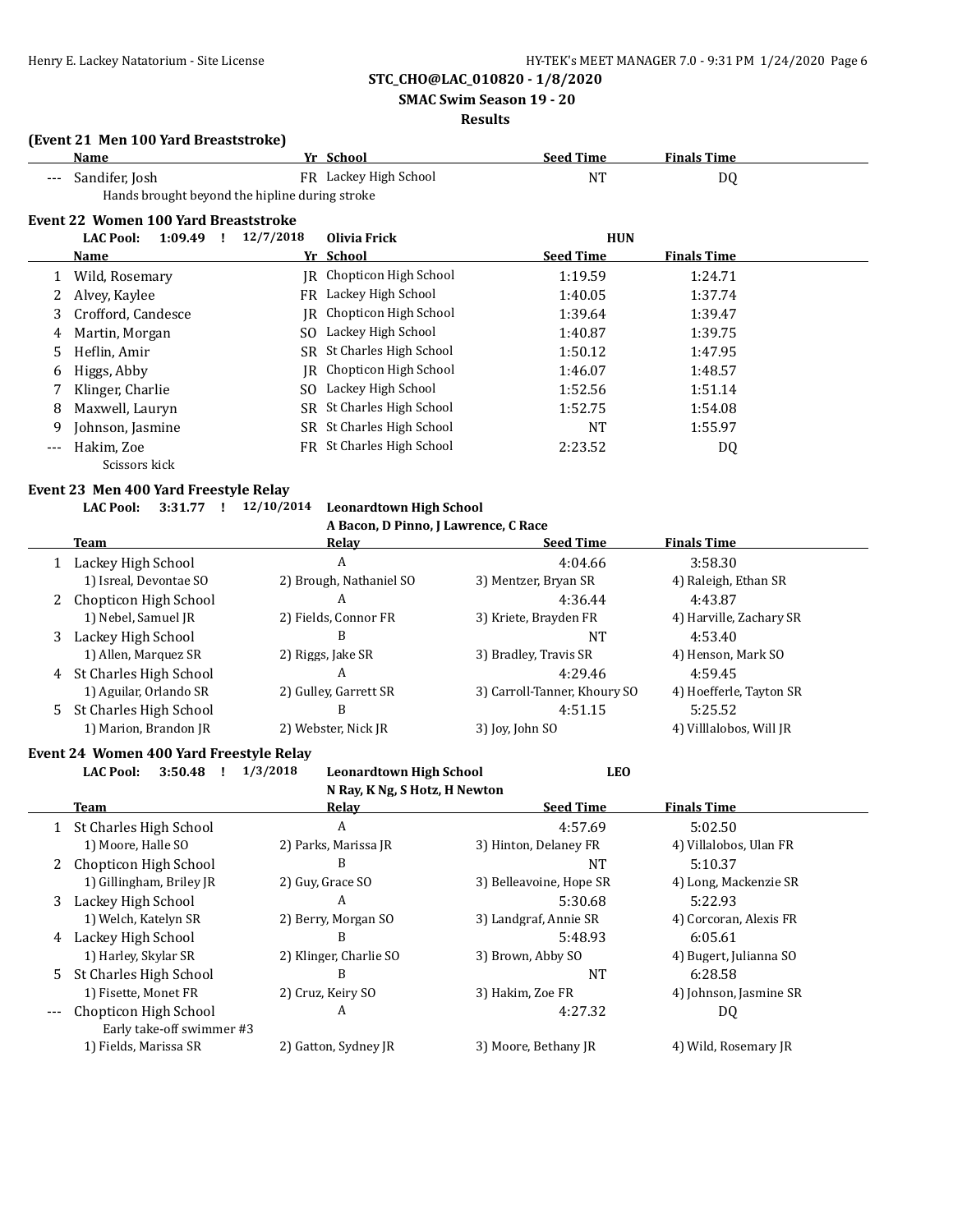**SMAC Swim Season 19 - 20**

# **Results**

### **(Event 21 Men 100 Yard Breaststroke)**

|     | Name                                           |           | Yr School                 | <b>Seed Time</b> | <b>Finals Time</b> |  |
|-----|------------------------------------------------|-----------|---------------------------|------------------|--------------------|--|
|     | Sandifer, Josh                                 |           | FR Lackey High School     | <b>NT</b>        | DQ                 |  |
|     | Hands brought beyond the hipline during stroke |           |                           |                  |                    |  |
|     | Event 22 Women 100 Yard Breaststroke           |           |                           |                  |                    |  |
|     | <b>LAC Pool:</b><br>1:09.49<br>- !             | 12/7/2018 | Olivia Frick              | <b>HUN</b>       |                    |  |
|     | <b>Name</b>                                    |           | Yr School                 | <b>Seed Time</b> | <b>Finals Time</b> |  |
|     | Wild, Rosemary                                 |           | JR Chopticon High School  | 1:19.59          | 1:24.71            |  |
|     | Alvey, Kaylee                                  |           | FR Lackey High School     | 1:40.05          | 1:37.74            |  |
| 3   | Crofford, Candesce                             | IR        | Chopticon High School     | 1:39.64          | 1:39.47            |  |
| 4   | Martin, Morgan                                 | SO.       | Lackey High School        | 1:40.87          | 1:39.75            |  |
| .5  | Heflin, Amir                                   | SR.       | St Charles High School    | 1:50.12          | 1:47.95            |  |
| 6   | Higgs, Abby                                    |           | IR Chopticon High School  | 1:46.07          | 1:48.57            |  |
|     | Klinger, Charlie                               | SO.       | Lackey High School        | 1:52.56          | 1:51.14            |  |
| 8   | Maxwell, Lauryn                                | SR.       | St Charles High School    | 1:52.75          | 1:54.08            |  |
| 9   | Johnson, Jasmine                               |           | SR St Charles High School | <b>NT</b>        | 1:55.97            |  |
| --- | Hakim, Zoe                                     |           | FR St Charles High School | 2:23.52          | DQ                 |  |
|     | Scissors kick                                  |           |                           |                  |                    |  |

#### **Event 23 Men 400 Yard Freestyle Relay**

 $\overline{a}$ 

# **LAC Pool: 3:31.77 ! 12/10/2014 Leonardtown High School**

# **A Bacon, D Pinno, J Lawrence, C Race**

|   | Team                   | Relay                   | <b>Seed Time</b>             | <b>Finals Time</b>      |
|---|------------------------|-------------------------|------------------------------|-------------------------|
|   | Lackey High School     | A                       | 4:04.66                      | 3:58.30                 |
|   | 1) Isreal, Devontae SO | 2) Brough, Nathaniel SO | 3) Mentzer, Bryan SR         | 4) Raleigh, Ethan SR    |
|   | Chopticon High School  | A                       | 4:36.44                      | 4:43.87                 |
|   | 1) Nebel, Samuel JR    | 2) Fields, Connor FR    | 3) Kriete, Brayden FR        | 4) Harville, Zachary SR |
|   | Lackey High School     | B                       | NT                           | 4:53.40                 |
|   | 1) Allen, Marquez SR   | 2) Riggs, Jake SR       | 3) Bradley, Travis SR        | 4) Henson, Mark SO      |
| 4 | St Charles High School | A                       | 4:29.46                      | 4:59.45                 |
|   | 1) Aguilar, Orlando SR | 2) Gulley, Garrett SR   | 3) Carroll-Tanner, Khoury SO | 4) Hoefferle, Tayton SR |
|   | St Charles High School | B                       | 4:51.15                      | 5:25.52                 |
|   | 1) Marion, Brandon JR  | 2) Webster, Nick JR     | 3) Joy, John SO              | 4) Villlalobos, Will JR |

# **Event 24 Women 400 Yard Freestyle Relay**

|       | <b>LAC Pool:</b><br>3:50.48 | 1/3/2018<br><b>Leonardtown High School</b> | <b>LEO</b>              |                        |
|-------|-----------------------------|--------------------------------------------|-------------------------|------------------------|
|       |                             | N Ray, K Ng, S Hotz, H Newton              |                         |                        |
|       | Team                        | Relay                                      | <b>Seed Time</b>        | <b>Finals Time</b>     |
|       | St Charles High School      | A                                          | 4:57.69                 | 5:02.50                |
|       | 1) Moore, Halle SO          | 2) Parks, Marissa JR                       | 3) Hinton, Delaney FR   | 4) Villalobos, Ulan FR |
| 2     | Chopticon High School       | B                                          | NT                      | 5:10.37                |
|       | 1) Gillingham, Briley JR    | 2) Guy, Grace SO                           | 3) Belleavoine, Hope SR | 4) Long, Mackenzie SR  |
| 3     | Lackey High School          | A                                          | 5:30.68                 | 5:22.93                |
|       | 1) Welch, Katelyn SR        | 2) Berry, Morgan SO                        | 3) Landgraf, Annie SR   | 4) Corcoran, Alexis FR |
| 4     | Lackey High School          | B                                          | 5:48.93                 | 6:05.61                |
|       | 1) Harley, Skylar SR        | 2) Klinger, Charlie SO                     | 3) Brown, Abby SO       | 4) Bugert, Julianna SO |
| 5.    | St Charles High School      | B                                          | NT                      | 6:28.58                |
|       | 1) Fisette, Monet FR        | 2) Cruz, Keiry SO                          | 3) Hakim, Zoe FR        | 4) Johnson, Jasmine SR |
| $---$ | Chopticon High School       | A                                          | 4:27.32                 | DQ                     |
|       | Early take-off swimmer #3   |                                            |                         |                        |
|       | 1) Fields, Marissa SR       | 2) Gatton, Sydney JR                       | 3) Moore, Bethany JR    | 4) Wild, Rosemary JR   |